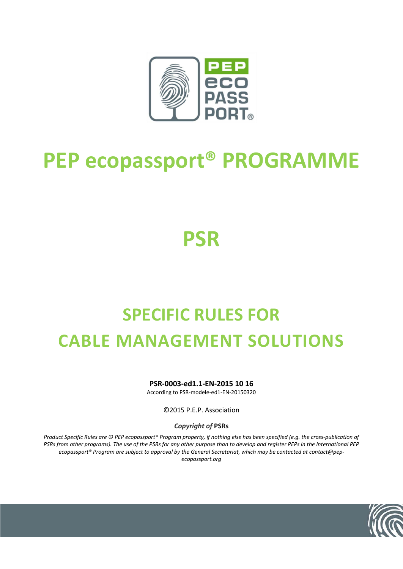

# **PEP ecopassport® PROGRAMME**

**PSR**

# **SPECIFIC RULES FOR CABLE MANAGEMENT SOLUTIONS**

**PSR-0003-ed1.1-EN-2015 10 16**

According to PSR-modele-ed1-EN-20150320

©2015 P.E.P. Association

*Copyright of* **PSRs**

*Product Specific Rules are © PEP ecopassport® Program property, if nothing else has been specified (e.g. the cross-publication of PSRs from other programs). The use of the PSRs for any other purpose than to develop and register PEPs in the International PEP ecopassport® Program are subject to approval by the General Secretariat, which may be contacted at contact@pepecopassport.org* 

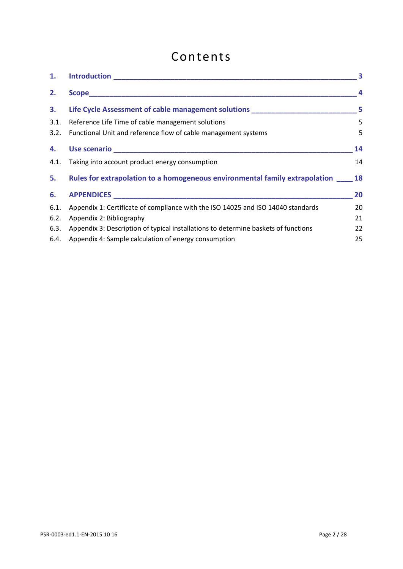# Contents

| 1.   | <u>Introduction _________________________________</u>                              |    |
|------|------------------------------------------------------------------------------------|----|
| 2.   |                                                                                    | 4  |
| 3.   | Life Cycle Assessment of cable management solutions ____________________________   | 5  |
| 3.1. | Reference Life Time of cable management solutions                                  | 5  |
| 3.2. | Functional Unit and reference flow of cable management systems                     | 5  |
| 4.   |                                                                                    | 14 |
| 4.1. | Taking into account product energy consumption                                     | 14 |
| 5.   | Rules for extrapolation to a homogeneous environmental family extrapolation        | 18 |
| 6.   |                                                                                    | 20 |
| 6.1. | Appendix 1: Certificate of compliance with the ISO 14025 and ISO 14040 standards   | 20 |
| 6.2. | Appendix 2: Bibliography                                                           | 21 |
| 6.3. | Appendix 3: Description of typical installations to determine baskets of functions | 22 |
| 6.4. | Appendix 4: Sample calculation of energy consumption                               | 25 |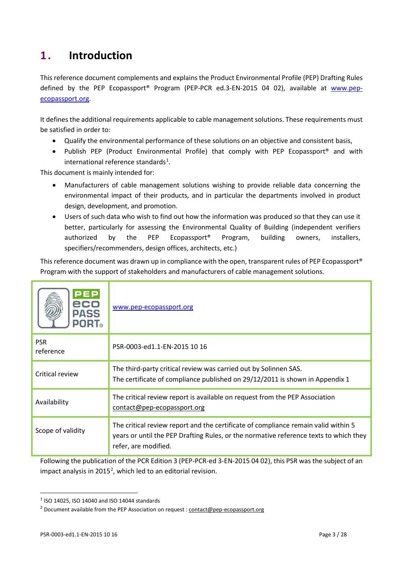# <span id="page-2-0"></span>**1 . Introduction**

This reference document complements and explains the Product Environmental Profile (PEP) Drafting Rules defined by the PEP Ecopassport<sup>®</sup> Program (PEP-PCR ed.3-EN-2015 04 02), available at [www.pep](http://www.pep-ecopassport.org/)[ecopassport.org.](http://www.pep-ecopassport.org/)

It defines the additional requirements applicable to cable management solutions. These requirements must be satisfied in order to:

- Qualify the environmental performance of these solutions on an objective and consistent basis,
- Publish PEP (Product Environmental Profile) that comply with PEP Ecopassport® and with international reference standards $^{1}$  $^{1}$  $^{1}$ .

This document is mainly intended for:

- Manufacturers of cable management solutions wishing to provide reliable data concerning the environmental impact of their products, and in particular the departments involved in product design, development, and promotion.
- Users of such data who wish to find out how the information was produced so that they can use it better, particularly for assessing the Environmental Quality of Building (independent verifiers authorized by the PEP Ecopassport® Program, building owners, installers, specifiers/recommenders, design offices, architects, etc.)

This reference document was drawn up in compliance with the open, transparent rules of PEP Ecopassport® Program with the support of stakeholders and manufacturers of cable management solutions.

| PEP<br>eco<br><b>PASS</b><br><b>PORT</b> ® | www.pep-ecopassport.org                                                                                                                                                                             |
|--------------------------------------------|-----------------------------------------------------------------------------------------------------------------------------------------------------------------------------------------------------|
| <b>PSR</b><br>reference                    | PSR-0003-ed1.1-EN-2015 10 16                                                                                                                                                                        |
| Critical review                            | The third-party critical review was carried out by Solinnen SAS.<br>The certificate of compliance published on 29/12/2011 is shown in Appendix 1                                                    |
| Availability                               | The critical review report is available on request from the PEP Association<br>contact@pep-ecopassport.org                                                                                          |
| Scope of validity                          | The critical review report and the certificate of compliance remain valid within 5<br>years or until the PEP Drafting Rules, or the normative reference texts to which they<br>refer, are modified. |

Following the publication of the PCR Edition 3 (PEP-PCR-ed 3-EN-2015 04 02), this PSR was the subject of an impact analysis in [2](#page-2-2)015<sup>2</sup>, which led to an editorial revision.

<span id="page-2-1"></span> $1$  ISO 14025, ISO 14040 and ISO 14044 standards

<span id="page-2-2"></span><sup>&</sup>lt;sup>2</sup> Document available from the PEP Association on request [: contact@pep-ecopassport.org](mailto:contact@pep-ecopassport.org)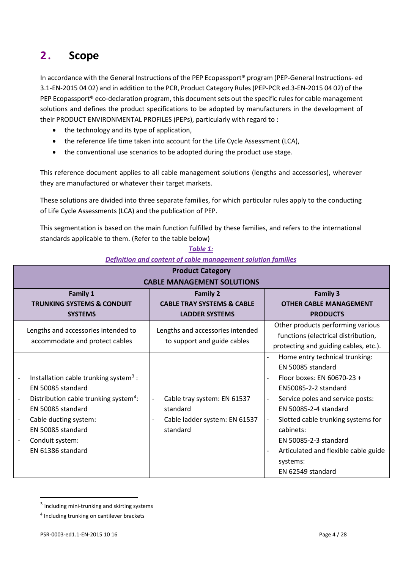# <span id="page-3-0"></span>**2 . Scope**

In accordance with the General Instructions of the PEP Ecopassport<sup>®</sup> program (PEP-General Instructions- ed 3.1-EN-2015 04 02) and in addition to the PCR, Product Category Rules (PEP-PCR ed.3-EN-2015 04 02) of the PEP Ecopassport® eco-declaration program, this document sets out the specific rules for cable management solutions and defines the product specifications to be adopted by manufacturers in the development of their PRODUCT ENVIRONMENTAL PROFILES (PEPs), particularly with regard to :

- the technology and its type of application,
- the reference life time taken into account for the Life Cycle Assessment (LCA),
- the conventional use scenarios to be adopted during the product use stage.

This reference document applies to all cable management solutions (lengths and accessories), wherever they are manufactured or whatever their target markets.

These solutions are divided into three separate families, for which particular rules apply to the conducting of Life Cycle Assessments (LCA) and the publication of PEP.

This segmentation is based on the main function fulfilled by these families, and refers to the international standards applicable to them. (Refer to the table below)

| I I VUULL LULLEVI Y<br><b>CABLE MANAGEMENT SOLUTIONS</b>                                                                                                                                                                                    |                                                                                                                  |                                                                                                                                                                                                                                                                                                                                                                                                       |  |
|---------------------------------------------------------------------------------------------------------------------------------------------------------------------------------------------------------------------------------------------|------------------------------------------------------------------------------------------------------------------|-------------------------------------------------------------------------------------------------------------------------------------------------------------------------------------------------------------------------------------------------------------------------------------------------------------------------------------------------------------------------------------------------------|--|
| <b>Family 1</b><br><b>TRUNKING SYSTEMS &amp; CONDUIT</b><br><b>SYSTEMS</b>                                                                                                                                                                  | <b>Family 2</b><br><b>CABLE TRAY SYSTEMS &amp; CABLE</b><br><b>LADDER SYSTEMS</b>                                | <b>Family 3</b><br><b>OTHER CABLE MANAGEMENT</b><br><b>PRODUCTS</b>                                                                                                                                                                                                                                                                                                                                   |  |
| Lengths and accessories intended to<br>accommodate and protect cables                                                                                                                                                                       | Lengths and accessories intended<br>to support and guide cables                                                  | Other products performing various<br>functions (electrical distribution,<br>protecting and guiding cables, etc.).                                                                                                                                                                                                                                                                                     |  |
| Installation cable trunking system <sup>3</sup> :<br>-<br>EN 50085 standard<br>Distribution cable trunking system <sup>4</sup> :<br>EN 50085 standard<br>Cable ducting system:<br>EN 50085 standard<br>Conduit system:<br>EN 61386 standard | Cable tray system: EN 61537<br>$\overline{\phantom{a}}$<br>standard<br>Cable ladder system: EN 61537<br>standard | Home entry technical trunking:<br>EN 50085 standard<br>Floor boxes: EN 60670-23 +<br>$\overline{\phantom{0}}$<br>EN50085-2-2 standard<br>Service poles and service posts:<br>$\overline{\phantom{a}}$<br>EN 50085-2-4 standard<br>Slotted cable trunking systems for<br>$\overline{a}$<br>cabinets:<br>EN 50085-2-3 standard<br>Articulated and flexible cable guide<br>systems:<br>EN 62549 standard |  |

#### *Table 1: Definition and content of cable management solution families* **Product Category**

<span id="page-3-1"></span><sup>&</sup>lt;sup>3</sup> Including mini-trunking and skirting systems

<span id="page-3-2"></span><sup>&</sup>lt;sup>4</sup> Including trunking on cantilever brackets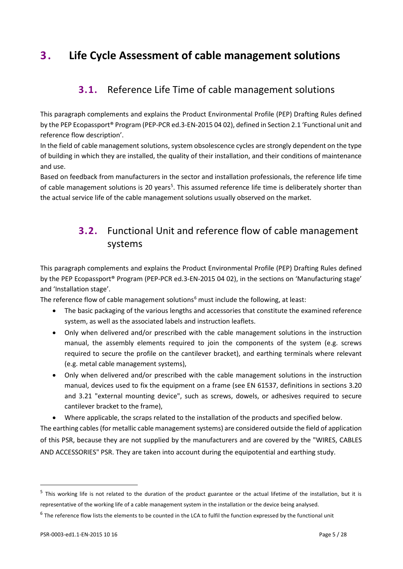# <span id="page-4-1"></span><span id="page-4-0"></span>**3 . Life Cycle Assessment of cable management solutions**

## **3.1.** Reference Life Time of cable management solutions

This paragraph complements and explains the Product Environmental Profile (PEP) Drafting Rules defined by the PEP Ecopassport® Program (PEP-PCR ed.3-EN-2015 04 02), defined in Section 2.1 'Functional unit and reference flow description'.

In the field of cable management solutions, system obsolescence cycles are strongly dependent on the type of building in which they are installed, the quality of their installation, and their conditions of maintenance and use.

<span id="page-4-2"></span>Based on feedback from manufacturers in the sector and installation professionals, the reference life time of cable management solutions is 20 years<sup>[5](#page-4-3)</sup>. This assumed reference life time is deliberately shorter than the actual service life of the cable management solutions usually observed on the market.

# **3.2.** Functional Unit and reference flow of cable management systems

This paragraph complements and explains the Product Environmental Profile (PEP) Drafting Rules defined by the PEP Ecopassport® Program (PEP-PCR ed.3-EN-2015 04 02), in the sections on 'Manufacturing stage' and 'Installation stage'.

The reference flow of cable management solutions<sup>[6](#page-4-4)</sup> must include the following, at least:

- The basic packaging of the various lengths and accessories that constitute the examined reference system, as well as the associated labels and instruction leaflets.
- Only when delivered and/or prescribed with the cable management solutions in the instruction manual, the assembly elements required to join the components of the system (e.g. screws required to secure the profile on the cantilever bracket), and earthing terminals where relevant (e.g. metal cable management systems),
- Only when delivered and/or prescribed with the cable management solutions in the instruction manual, devices used to fix the equipment on a frame (see EN 61537, definitions in sections 3.20 and 3.21 "external mounting device", such as screws, dowels, or adhesives required to secure cantilever bracket to the frame),

• Where applicable, the scraps related to the installation of the products and specified below.

The earthing cables (for metallic cable management systems) are considered outside the field of application of this PSR, because they are not supplied by the manufacturers and are covered by the "WIRES, CABLES AND ACCESSORIES" PSR. They are taken into account during the equipotential and earthing study.

<span id="page-4-3"></span><sup>&</sup>lt;sup>5</sup> This working life is not related to the duration of the product guarantee or the actual lifetime of the installation, but it is representative of the working life of a cable management system in the installation or the device being analysed.

<span id="page-4-4"></span> $6$  The reference flow lists the elements to be counted in the LCA to fulfil the function expressed by the functional unit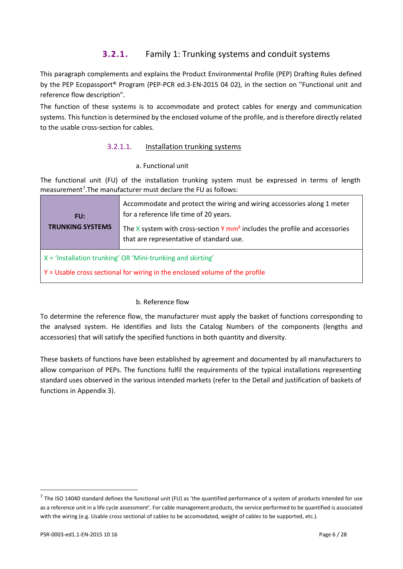### **3.2.1.** Family 1: Trunking systems and conduit systems

This paragraph complements and explains the Product Environmental Profile (PEP) Drafting Rules defined by the PEP Ecopassport® Program (PEP-PCR ed.3-EN-2015 04 02), in the section on "Functional unit and reference flow description".

The function of these systems is to accommodate and protect cables for energy and communication systems. This function is determined by the enclosed volume of the profile, and is therefore directly related to the usable cross-section for cables.

#### 3.2.1.1. Installation trunking systems

#### a. Functional unit

The functional unit (FU) of the installation trunking system must be expressed in terms of length measurement<sup>[7](#page-5-0)</sup>.The manufacturer must declare the FU as follows:

| FU:<br><b>TRUNKING SYSTEMS</b>                                              | Accommodate and protect the wiring and wiring accessories along 1 meter<br>for a reference life time of 20 years.<br>The $X$ system with cross-section $Y$ mm <sup>2</sup> includes the profile and accessories<br>that are representative of standard use. |
|-----------------------------------------------------------------------------|-------------------------------------------------------------------------------------------------------------------------------------------------------------------------------------------------------------------------------------------------------------|
| $X = 'Installation$ trunking' OR 'Mini-trunking and skirting'               |                                                                                                                                                                                                                                                             |
| Y = Usable cross sectional for wiring in the enclosed volume of the profile |                                                                                                                                                                                                                                                             |

#### b. Reference flow

To determine the reference flow, the manufacturer must apply the basket of functions corresponding to the analysed system. He identifies and lists the Catalog Numbers of the components (lengths and accessories) that will satisfy the specified functions in both quantity and diversity.

These baskets of functions have been established by agreement and documented by all manufacturers to allow comparison of PEPs. The functions fulfil the requirements of the typical installations representing standard uses observed in the various intended markets (refer to the Detail and justification of baskets of functions in Appendix 3).

<span id="page-5-0"></span> $^7$  The ISO 14040 standard defines the functional unit (FU) as 'the quantified performance of a system of products intended for use as a reference unit in a life cycle assessment'. For cable management products, the service performed to be quantified is associated with the wiring (e.g. Usable cross sectional of cables to be accomodated, weight of cables to be supported, etc.).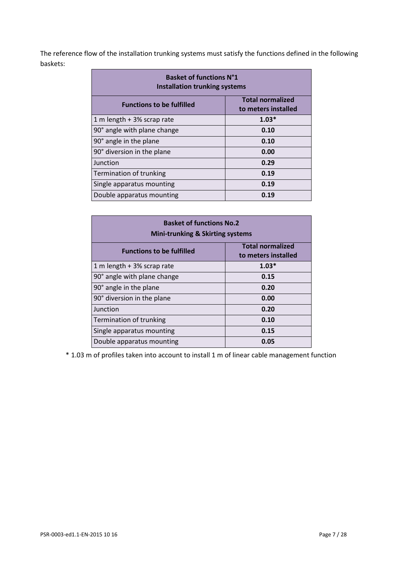The reference flow of the installation trunking systems must satisfy the functions defined in the following baskets:

| <b>Basket of functions N°1</b><br><b>Installation trunking systems</b> |                                                |
|------------------------------------------------------------------------|------------------------------------------------|
| <b>Functions to be fulfilled</b>                                       | <b>Total normalized</b><br>to meters installed |
| 1 m length + 3% scrap rate                                             | $1.03*$                                        |
| 90° angle with plane change                                            | 0.10                                           |
| 90° angle in the plane                                                 | 0.10                                           |
| 90° diversion in the plane                                             | 0.00                                           |
| Junction                                                               | 0.29                                           |
| Termination of trunking                                                | 0.19                                           |
| Single apparatus mounting                                              | 0.19                                           |
| Double apparatus mounting                                              | 0.19                                           |

| <b>Basket of functions No.2</b><br><b>Mini-trunking &amp; Skirting systems</b> |                                                |
|--------------------------------------------------------------------------------|------------------------------------------------|
| <b>Functions to be fulfilled</b>                                               | <b>Total normalized</b><br>to meters installed |
| 1 m length + 3% scrap rate                                                     | $1.03*$                                        |
| 90° angle with plane change                                                    | 0.15                                           |
| 90° angle in the plane                                                         | 0.20                                           |
| 90° diversion in the plane                                                     | 0.00                                           |
| Junction                                                                       | 0.20                                           |
| Termination of trunking                                                        | 0.10                                           |
| Single apparatus mounting                                                      | 0.15                                           |
| Double apparatus mounting                                                      | 0.05                                           |

\* 1.03 m of profiles taken into account to install 1 m of linear cable management function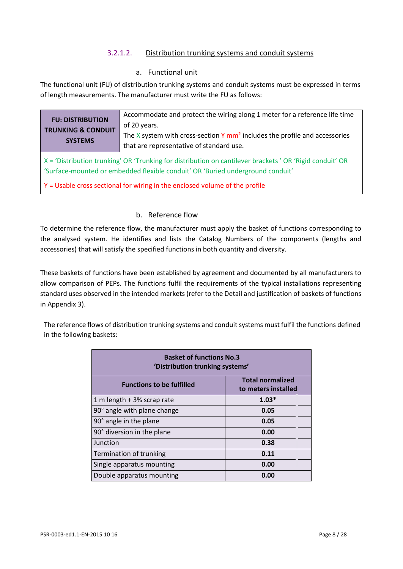#### 3.2.1.2. Distribution trunking systems and conduit systems

#### a. Functional unit

The functional unit (FU) of distribution trunking systems and conduit systems must be expressed in terms of length measurements. The manufacturer must write the FU as follows:

| <b>FU: DISTRIBUTION</b><br><b>TRUNKING &amp; CONDUIT</b><br><b>SYSTEMS</b>                                                                                                                                                                                               | Accommodate and protect the wiring along 1 meter for a reference life time<br>of 20 years.<br>The X system with cross-section Y $mm2$ includes the profile and accessories<br>that are representative of standard use. |
|--------------------------------------------------------------------------------------------------------------------------------------------------------------------------------------------------------------------------------------------------------------------------|------------------------------------------------------------------------------------------------------------------------------------------------------------------------------------------------------------------------|
| X = 'Distribution trunking' OR 'Trunking for distribution on cantilever brackets' OR 'Rigid conduit' OR<br>'Surface-mounted or embedded flexible conduit' OR 'Buried underground conduit'<br>Y = Usable cross sectional for wiring in the enclosed volume of the profile |                                                                                                                                                                                                                        |

#### b. Reference flow

To determine the reference flow, the manufacturer must apply the basket of functions corresponding to the analysed system. He identifies and lists the Catalog Numbers of the components (lengths and accessories) that will satisfy the specified functions in both quantity and diversity.

These baskets of functions have been established by agreement and documented by all manufacturers to allow comparison of PEPs. The functions fulfil the requirements of the typical installations representing standard uses observed in the intended markets (refer to the Detail and justification of baskets of functions in Appendix 3).

The reference flows of distribution trunking systems and conduit systems must fulfil the functions defined in the following baskets:

| <b>Basket of functions No.3</b><br>'Distribution trunking systems' |                                                |
|--------------------------------------------------------------------|------------------------------------------------|
| <b>Functions to be fulfilled</b>                                   | <b>Total normalized</b><br>to meters installed |
| 1 m length + 3% scrap rate                                         | $1.03*$                                        |
| 90° angle with plane change                                        | 0.05                                           |
| 90° angle in the plane                                             | 0.05                                           |
| 90° diversion in the plane                                         | 0.00                                           |
| Junction                                                           | 0.38                                           |
| Termination of trunking                                            | 0.11                                           |
| Single apparatus mounting                                          | 0.00                                           |
| Double apparatus mounting                                          | 0.00                                           |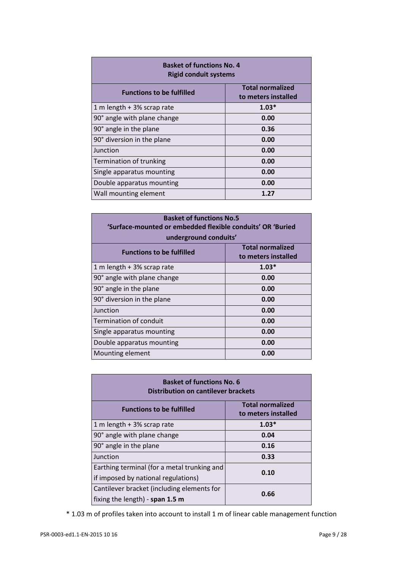| <b>Basket of functions No. 4</b><br><b>Rigid conduit systems</b> |                                                |
|------------------------------------------------------------------|------------------------------------------------|
| <b>Functions to be fulfilled</b>                                 | <b>Total normalized</b><br>to meters installed |
| 1 m length + 3% scrap rate                                       | $1.03*$                                        |
| 90° angle with plane change                                      | 0.00                                           |
| 90° angle in the plane                                           | 0.36                                           |
| 90° diversion in the plane                                       | 0.00                                           |
| Junction                                                         | 0.00                                           |
| Termination of trunking                                          | 0.00                                           |
| Single apparatus mounting                                        | 0.00                                           |
| Double apparatus mounting                                        | 0.00                                           |
| Wall mounting element                                            | 1.27                                           |

| <b>Basket of functions No.5</b><br>'Surface-mounted or embedded flexible conduits' OR 'Buried<br>underground conduits' |                                                |
|------------------------------------------------------------------------------------------------------------------------|------------------------------------------------|
| <b>Functions to be fulfilled</b>                                                                                       | <b>Total normalized</b><br>to meters installed |
| 1 m length + 3% scrap rate                                                                                             | $1.03*$                                        |
| 90° angle with plane change                                                                                            | 0.00                                           |
| 90° angle in the plane                                                                                                 | 0.00                                           |
| 90° diversion in the plane                                                                                             | 0.00                                           |
| Junction                                                                                                               | 0.00                                           |
| <b>Termination of conduit</b>                                                                                          | 0.00                                           |
| Single apparatus mounting                                                                                              | 0.00                                           |
| Double apparatus mounting                                                                                              | 0.00                                           |
| Mounting element                                                                                                       | 0.00                                           |

| <b>Basket of functions No. 6</b><br><b>Distribution on cantilever brackets</b> |                                                |  |
|--------------------------------------------------------------------------------|------------------------------------------------|--|
| <b>Functions to be fulfilled</b>                                               | <b>Total normalized</b><br>to meters installed |  |
| 1 m length + 3% scrap rate                                                     | $1.03*$                                        |  |
| 90° angle with plane change                                                    | 0.04                                           |  |
| 90° angle in the plane                                                         | 0.16                                           |  |
| Junction                                                                       | 0.33                                           |  |
| Earthing terminal (for a metal trunking and                                    | 0.10                                           |  |
| if imposed by national regulations)                                            |                                                |  |
| Cantilever bracket (including elements for<br>0.66                             |                                                |  |
| fixing the length) - span 1.5 m                                                |                                                |  |

\* 1.03 m of profiles taken into account to install 1 m of linear cable management function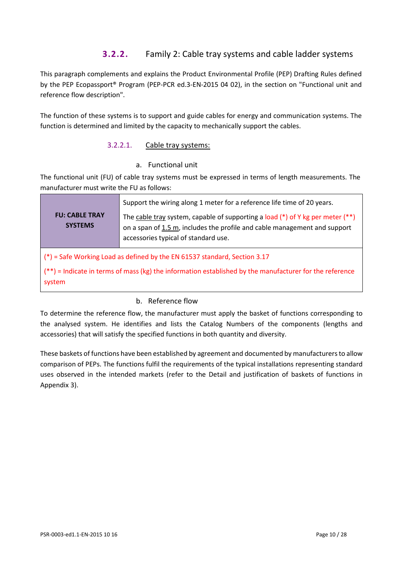### **3.2.2.** Family 2: Cable tray systems and cable ladder systems

This paragraph complements and explains the Product Environmental Profile (PEP) Drafting Rules defined by the PEP Ecopassport® Program (PEP-PCR ed.3-EN-2015 04 02), in the section on "Functional unit and reference flow description".

The function of these systems is to support and guide cables for energy and communication systems. The function is determined and limited by the capacity to mechanically support the cables.

#### 3.2.2.1. Cable tray systems:

#### a. Functional unit

The functional unit (FU) of cable tray systems must be expressed in terms of length measurements. The manufacturer must write the FU as follows:

| <b>FU: CABLE TRAY</b><br><b>SYSTEMS</b>                                                                                                                                                         | Support the wiring along 1 meter for a reference life time of 20 years.<br>The cable tray system, capable of supporting a load $(*)$ of Y kg per meter $(**)$<br>on a span of 1.5 m, includes the profile and cable management and support<br>accessories typical of standard use. |
|-------------------------------------------------------------------------------------------------------------------------------------------------------------------------------------------------|------------------------------------------------------------------------------------------------------------------------------------------------------------------------------------------------------------------------------------------------------------------------------------|
| (*) = Safe Working Load as defined by the EN 61537 standard, Section 3.17<br>$(*)$ = Indicate in terms of mass (kg) the information established by the manufacturer for the reference<br>system |                                                                                                                                                                                                                                                                                    |

#### b. Reference flow

To determine the reference flow, the manufacturer must apply the basket of functions corresponding to the analysed system. He identifies and lists the Catalog Numbers of the components (lengths and accessories) that will satisfy the specified functions in both quantity and diversity.

These baskets of functions have been established by agreement and documented by manufacturers to allow comparison of PEPs. The functions fulfil the requirements of the typical installations representing standard uses observed in the intended markets (refer to the Detail and justification of baskets of functions in Appendix 3).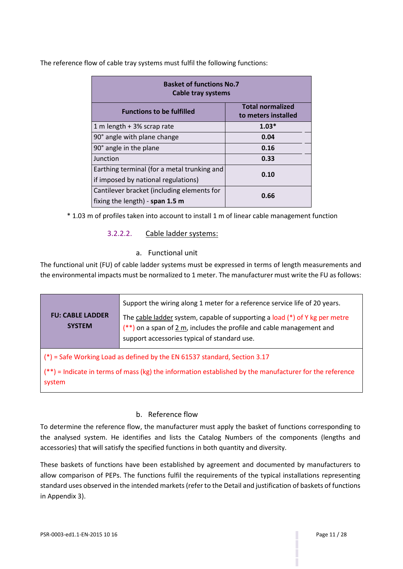The reference flow of cable tray systems must fulfil the following functions:

| <b>Basket of functions No.7</b><br><b>Cable tray systems</b>                       |         |  |  |  |  |  |
|------------------------------------------------------------------------------------|---------|--|--|--|--|--|
| <b>Total normalized</b><br><b>Functions to be fulfilled</b><br>to meters installed |         |  |  |  |  |  |
| 1 m length + 3% scrap rate                                                         | $1.03*$ |  |  |  |  |  |
| 90° angle with plane change                                                        | 0.04    |  |  |  |  |  |
| 90° angle in the plane                                                             | 0.16    |  |  |  |  |  |
| Junction                                                                           | 0.33    |  |  |  |  |  |
| Earthing terminal (for a metal trunking and                                        | 0.10    |  |  |  |  |  |
| if imposed by national regulations)                                                |         |  |  |  |  |  |
| Cantilever bracket (including elements for                                         | 0.66    |  |  |  |  |  |
| fixing the length) - span $1.5$ m                                                  |         |  |  |  |  |  |

\* 1.03 m of profiles taken into account to install 1 m of linear cable management function

#### 3.2.2.2. Cable ladder systems:

#### a. Functional unit

The functional unit (FU) of cable ladder systems must be expressed in terms of length measurements and the environmental impacts must be normalized to 1 meter. The manufacturer must write the FU as follows:

| <b>FU: CABLE LADDER</b><br><b>SYSTEM</b>                                                                            | Support the wiring along 1 meter for a reference service life of 20 years.<br>The cable ladder system, capable of supporting a load (*) of Y kg per metre<br>$(**)$ on a span of 2 m, includes the profile and cable management and<br>support accessories typical of standard use. |  |  |  |  |  |  |
|---------------------------------------------------------------------------------------------------------------------|-------------------------------------------------------------------------------------------------------------------------------------------------------------------------------------------------------------------------------------------------------------------------------------|--|--|--|--|--|--|
| $(*)$ = Safe Working Load as defined by the EN 61537 standard, Section 3.17                                         |                                                                                                                                                                                                                                                                                     |  |  |  |  |  |  |
| $(**)$ = Indicate in terms of mass (kg) the information established by the manufacturer for the reference<br>system |                                                                                                                                                                                                                                                                                     |  |  |  |  |  |  |

#### b. Reference flow

To determine the reference flow, the manufacturer must apply the basket of functions corresponding to the analysed system. He identifies and lists the Catalog Numbers of the components (lengths and accessories) that will satisfy the specified functions in both quantity and diversity.

These baskets of functions have been established by agreement and documented by manufacturers to allow comparison of PEPs. The functions fulfil the requirements of the typical installations representing standard uses observed in the intended markets (refer to the Detail and justification of baskets of functions in Appendix 3).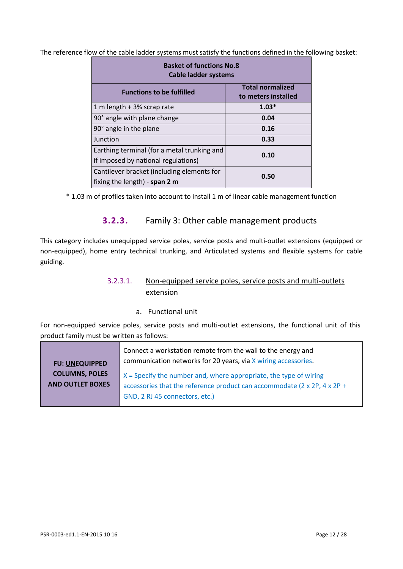The reference flow of the cable ladder systems must satisfy the functions defined in the following basket:

| <b>Basket of functions No.8</b><br><b>Cable ladder systems</b> |                                                |  |  |  |  |  |
|----------------------------------------------------------------|------------------------------------------------|--|--|--|--|--|
| <b>Functions to be fulfilled</b>                               | <b>Total normalized</b><br>to meters installed |  |  |  |  |  |
| 1 m length + 3% scrap rate                                     | $1.03*$                                        |  |  |  |  |  |
| 90° angle with plane change                                    | 0.04                                           |  |  |  |  |  |
| 90° angle in the plane                                         | 0.16                                           |  |  |  |  |  |
| Junction                                                       | 0.33                                           |  |  |  |  |  |
| Earthing terminal (for a metal trunking and                    | 0.10                                           |  |  |  |  |  |
| if imposed by national regulations)                            |                                                |  |  |  |  |  |
| Cantilever bracket (including elements for                     | 0.50                                           |  |  |  |  |  |
| fixing the length) - span 2 m                                  |                                                |  |  |  |  |  |

\* 1.03 m of profiles taken into account to install 1 m of linear cable management function

#### **3.2.3.** Family 3: Other cable management products

This category includes unequipped service poles, service posts and multi-outlet extensions (equipped or non-equipped), home entry technical trunking, and Articulated systems and flexible systems for cable guiding.

#### 3.2.3.1. Non-equipped service poles, service posts and multi-outlets extension

#### a. Functional unit

For non-equipped service poles, service posts and multi-outlet extensions, the functional unit of this product family must be written as follows:

|                         | Connect a workstation remote from the wall to the energy and             |  |  |  |  |  |
|-------------------------|--------------------------------------------------------------------------|--|--|--|--|--|
| <b>FU: UNEQUIPPED</b>   | communication networks for 20 years, via X wiring accessories.           |  |  |  |  |  |
| <b>COLUMNS, POLES</b>   | $X =$ Specify the number and, where appropriate, the type of wiring      |  |  |  |  |  |
| <b>AND OUTLET BOXES</b> | accessories that the reference product can accommodate (2 x 2P, 4 x 2P + |  |  |  |  |  |
|                         | GND, 2 RJ 45 connectors, etc.)                                           |  |  |  |  |  |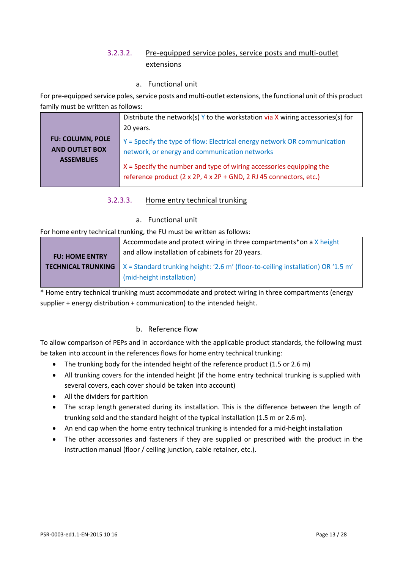#### 3.2.3.2. Pre-equipped service poles, service posts and multi-outlet extensions

a. Functional unit

For pre-equipped service poles, service posts and multi-outlet extensions, the functional unit of this product family must be written as follows:

|                                                                       | Distribute the network(s) $Y$ to the workstation via X wiring accessories(s) for                                                                                                                                                                                         |  |  |  |  |  |  |
|-----------------------------------------------------------------------|--------------------------------------------------------------------------------------------------------------------------------------------------------------------------------------------------------------------------------------------------------------------------|--|--|--|--|--|--|
|                                                                       | 20 years.                                                                                                                                                                                                                                                                |  |  |  |  |  |  |
| <b>FU: COLUMN, POLE</b><br><b>AND OUTLET BOX</b><br><b>ASSEMBLIES</b> | Y = Specify the type of flow: Electrical energy network OR communication<br>network, or energy and communication networks<br>$X =$ Specify the number and type of wiring accessories equipping the<br>reference product (2 x 2P, 4 x 2P + GND, 2 RJ 45 connectors, etc.) |  |  |  |  |  |  |

- 3.2.3.3. Home entry technical trunking
	- a. Functional unit

For home entry technical trunking, the FU must be written as follows:

|                       | Accommodate and protect wiring in three compartments*on a X height                                                 |
|-----------------------|--------------------------------------------------------------------------------------------------------------------|
| <b>FU: HOME ENTRY</b> | and allow installation of cabinets for 20 years.                                                                   |
|                       | <b>TECHNICAL TRUNKING</b> $\vert$ X = Standard trunking height: '2.6 m' (floor-to-ceiling installation) OR '1.5 m' |
|                       | (mid-height installation)                                                                                          |

\* Home entry technical trunking must accommodate and protect wiring in three compartments (energy supplier + energy distribution + communication) to the intended height.

#### b. Reference flow

To allow comparison of PEPs and in accordance with the applicable product standards, the following must be taken into account in the references flows for home entry technical trunking:

- The trunking body for the intended height of the reference product (1.5 or 2.6 m)
- All trunking covers for the intended height (if the home entry technical trunking is supplied with several covers, each cover should be taken into account)
- All the dividers for partition
- The scrap length generated during its installation. This is the difference between the length of trunking sold and the standard height of the typical installation (1.5 m or 2.6 m).
- An end cap when the home entry technical trunking is intended for a mid-height installation
- The other accessories and fasteners if they are supplied or prescribed with the product in the instruction manual (floor / ceiling junction, cable retainer, etc.).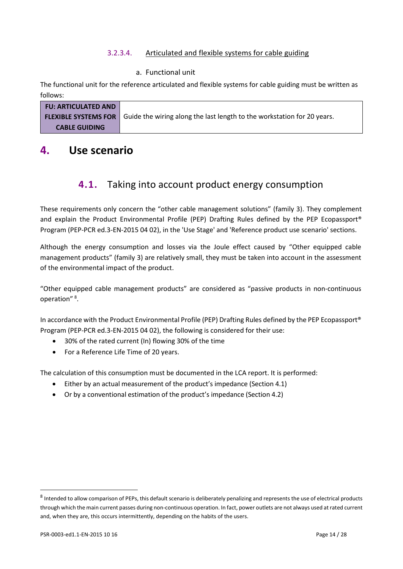#### 3.2.3.4. Articulated and flexible systems for cable guiding

#### a. Functional unit

The functional unit for the reference articulated and flexible systems for cable guiding must be written as follows:

| <b>FU: ARTICULATED AND</b> |                                                                                                     |
|----------------------------|-----------------------------------------------------------------------------------------------------|
|                            | <b>FLEXIBLE SYSTEMS FOR</b> Guide the wiring along the last length to the workstation for 20 years. |
| <b>CABLE GUIDING</b>       |                                                                                                     |

## <span id="page-13-1"></span><span id="page-13-0"></span>**4. Use scenario**

# **4.1.** Taking into account product energy consumption

These requirements only concern the "other cable management solutions" (family 3). They complement and explain the Product Environmental Profile (PEP) Drafting Rules defined by the PEP Ecopassport® Program (PEP-PCR ed.3-EN-2015 04 02), in the 'Use Stage' and 'Reference product use scenario' sections.

Although the energy consumption and losses via the Joule effect caused by "Other equipped cable management products" (family 3) are relatively small, they must be taken into account in the assessment of the environmental impact of the product.

"Other equipped cable management products" are considered as "passive products in non-continuous operation"<sup>[8](#page-13-2)</sup>.

In accordance with the Product Environmental Profile (PEP) Drafting Rules defined by the PEP Ecopassport® Program (PEP-PCR ed.3-EN-2015 04 02), the following is considered for their use:

- 30% of the rated current (In) flowing 30% of the time
- For a Reference Life Time of 20 years.

The calculation of this consumption must be documented in the LCA report. It is performed:

- Either by an actual measurement of the product's impedance (Section 4.1)
- Or by a conventional estimation of the product's impedance (Section 4.2)

<span id="page-13-2"></span><sup>&</sup>lt;sup>8</sup> Intended to allow comparison of PEPs, this default scenario is deliberately penalizing and represents the use of electrical products through which the main current passes during non-continuous operation. In fact, power outlets are not always used at rated current and, when they are, this occurs intermittently, depending on the habits of the users.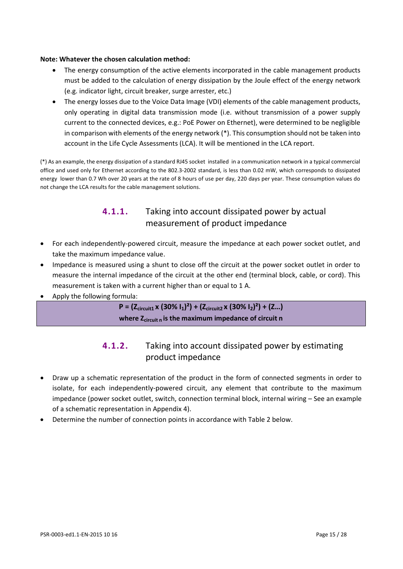#### **Note: Whatever the chosen calculation method:**

- The energy consumption of the active elements incorporated in the cable management products must be added to the calculation of energy dissipation by the Joule effect of the energy network (e.g. indicator light, circuit breaker, surge arrester, etc.)
- The energy losses due to the Voice Data Image (VDI) elements of the cable management products, only operating in digital data transmission mode (i.e. without transmission of a power supply current to the connected devices, e.g.: PoE Power on Ethernet), were determined to be negligible in comparison with elements of the energy network (\*). This consumption should not be taken into account in the Life Cycle Assessments (LCA). It will be mentioned in the LCA report.

(\*) As an example, the energy dissipation of a standard RJ45 socket installed in a communication network in a typical commercial office and used only for Ethernet according to the 802.3-2002 standard, is less than 0.02 mW, which corresponds to dissipated energy lower than 0.7 Wh over 20 years at the rate of 8 hours of use per day, 220 days per year. These consumption values do not change the LCA results for the cable management solutions.

### **4.1.1.** Taking into account dissipated power by actual measurement of product impedance

- For each independently-powered circuit, measure the impedance at each power socket outlet, and take the maximum impedance value.
- Impedance is measured using a shunt to close off the circuit at the power socket outlet in order to measure the internal impedance of the circuit at the other end (terminal block, cable, or cord). This measurement is taken with a current higher than or equal to 1 A.
- Apply the following formula:

**P = (Zcircuit1 x (30% I1)²) + (Zcircuit2 x (30% I2)²) + (Z…) where Zcircuit <sup>n</sup> is the maximum impedance of circuit n**

### **4.1.2.** Taking into account dissipated power by estimating product impedance

- Draw up a schematic representation of the product in the form of connected segments in order to isolate, for each independently-powered circuit, any element that contribute to the maximum impedance (power socket outlet, switch, connection terminal block, internal wiring – See an example of a schematic representation in Appendix 4).
- Determine the number of connection points in accordance with Table 2 below.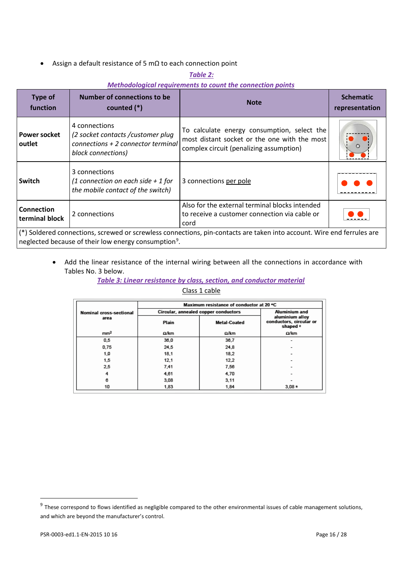• Assign a default resistance of 5 mΩ to each connection point

#### *Table 2:*

#### *Methodological requirements to count the connection points*

| <b>Type of</b><br>function                                                                                             | Number of connections to be<br>counted $(*)$                                                                      | <b>Note</b>                                                                                                                            | <b>Schematic</b><br>representation |  |  |  |
|------------------------------------------------------------------------------------------------------------------------|-------------------------------------------------------------------------------------------------------------------|----------------------------------------------------------------------------------------------------------------------------------------|------------------------------------|--|--|--|
| <b>Power socket</b><br>outlet                                                                                          | 4 connections<br>(2 socket contacts / customer plug<br>$connections + 2 connector terminal$<br>block connections) | To calculate energy consumption, select the<br>most distant socket or the one with the most<br>complex circuit (penalizing assumption) |                                    |  |  |  |
| Switch                                                                                                                 | 3 connections<br>(1 connection on each side $+1$ for<br>the mobile contact of the switch)                         | 3 connections per pole                                                                                                                 |                                    |  |  |  |
| Connection<br>terminal block                                                                                           | 2 connections                                                                                                     | Also for the external terminal blocks intended<br>to receive a customer connection via cable or<br>cord                                |                                    |  |  |  |
| (*) Soldered connections, screwed or screwless connections, pin-contacts are taken into account. Wire end ferrules are |                                                                                                                   |                                                                                                                                        |                                    |  |  |  |

neglected because of their low energy consumption $9$ .

• Add the linear resistance of the internal wiring between all the connections in accordance with Tables No. 3 below.

*Table 3: Linear resistance by class, section, and conductor material*

Class 1 cable

|                         | Maximum resistance of conductor at 20 °C |                                         |             |  |  |  |  |
|-------------------------|------------------------------------------|-----------------------------------------|-------------|--|--|--|--|
| Nominal cross-sectional | Circular, annealed copper conductors     | <b>Aluminium and</b><br>aluminium alloy |             |  |  |  |  |
| area                    | Plain                                    | <b>Metal-Coated</b>                     |             |  |  |  |  |
| mm <sup>2</sup>         | Ω/km                                     | $\Omega$ /km                            | $\Omega/km$ |  |  |  |  |
| 0.5                     | 36,0                                     | 36,7                                    |             |  |  |  |  |
| 0.75                    | 24,5                                     | 24.8                                    |             |  |  |  |  |
| 1.0                     | 18.1                                     | 18.2                                    |             |  |  |  |  |
| 1,5                     | 12.1                                     | 12,2                                    |             |  |  |  |  |
| 2,5                     | 7.41                                     | 7.56                                    |             |  |  |  |  |
| 4                       | 4.61                                     | 4,70                                    |             |  |  |  |  |
| 6                       | 3,08                                     | 3,11                                    |             |  |  |  |  |
| 10                      | 1,83                                     | 1.84                                    | $3.08*$     |  |  |  |  |

 $\ddot{\phantom{a}}$ 

<span id="page-15-0"></span> $9$  These correspond to flows identified as negligible compared to the other environmental issues of cable management solutions, and which are beyond the manufacturer's control.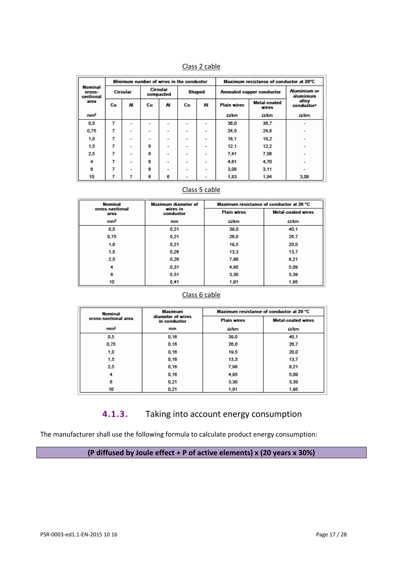| 55 Z. |  | ш |  |
|-------|--|---|--|
|       |  |   |  |

|                                | Minimum number of wires in the conductor |                          |    |                       |                          | Maximum resistance of conductor at 20°C |                           |                       |                           |
|--------------------------------|------------------------------------------|--------------------------|----|-----------------------|--------------------------|-----------------------------------------|---------------------------|-----------------------|---------------------------|
| Nominal<br>cross-<br>sectional |                                          | Circular                 |    | Circular<br>compacted |                          | Shaped                                  | Annealed copper conductor |                       | Aluminium or<br>aluminium |
| area                           | Cu                                       | AI                       | Сu | AI                    | Cu                       | AI                                      | <b>Plain wires</b>        | Metal-coated<br>wires | allov<br>conductore       |
| mm <sup>2</sup>                |                                          |                          |    |                       |                          |                                         | Ω/km                      | Ω/km                  | Ω/km                      |
| 0.5                            | 7                                        |                          |    |                       |                          |                                         | 36,0                      | 36,7                  |                           |
| 0.75                           | 7                                        | $\overline{\phantom{a}}$ |    | -                     | $\overline{\phantom{a}}$ | -                                       | 24.5                      | 24.8                  |                           |
| 1.0                            | 7                                        | -                        | ۰  | ۰                     | -                        | -                                       | 18,1                      | 18,2                  |                           |
| 1,5                            | 7                                        | $\overline{\phantom{0}}$ | 6  | -                     | $\overline{\phantom{0}}$ | -                                       | 12.1                      | 12.2                  |                           |
| 2,5                            | 7                                        | $\overline{\phantom{0}}$ | 6  | ٠                     | ۰                        | ۰                                       | 7,41                      | 7,56                  |                           |
| 4                              | 7                                        | $\overline{\phantom{0}}$ | 6  | -                     | -                        | -                                       | 4.61                      | 4,70                  |                           |
| 6                              | 7                                        | $\overline{\phantom{0}}$ | 6  | -                     | ۰                        | ۰                                       | 3.08                      | 3,11                  |                           |
| 10                             | 7                                        | 7                        | 6  | 6                     | -                        | $\overline{\phantom{0}}$                | 1,83                      | 1,84                  | 3,08                      |

#### Class 5 cable

| Nominal                 | <b>Maximum diameter of</b>                  | Maximum resistance of conductor at 20 °C |                           |  |
|-------------------------|---------------------------------------------|------------------------------------------|---------------------------|--|
| cross-sectional<br>area | wires in<br><b>Plain wires</b><br>conductor |                                          | <b>Metal-coated wires</b> |  |
| mm <sup>2</sup>         | mm                                          | Ω/km                                     | $\Omega$ /km              |  |
| 0.5                     | 0,21                                        | 39,0                                     | 40.1                      |  |
| 0.75                    | 0.21                                        | 26,0                                     | 26,7                      |  |
| 1,0                     | 0.21                                        | 19,5                                     | 20,0                      |  |
| 1,5                     | 0.26                                        | 13,3                                     | 13,7                      |  |
| 2,5                     | 0.26                                        | 7,98                                     | 8.21                      |  |
| 4                       | 0.31                                        | 4,95                                     | 5,09                      |  |
| 6                       | 0.31                                        | 3,30                                     | 3,39                      |  |
| 10                      | 0.41                                        | 1,91                                     | 1,95                      |  |

#### Class 6 cable

| Nominal              | Maximum                           |                    | Maximum resistance of conductor at 20 °C |
|----------------------|-----------------------------------|--------------------|------------------------------------------|
| cross-sectional area | diameter of wires<br>in conductor | <b>Plain wires</b> | <b>Metal-coated wires</b>                |
| mm <sup>2</sup>      | mm                                | $\Omega$ /km       | Ω/km                                     |
| 0.5                  | 0.16                              | 39.0               | 40.1                                     |
| 0,75                 | 0.16                              | 26,0               | 26,7                                     |
| 1.0                  | 0.16                              | 19.5               | 20.0                                     |
| 1,5                  | 0.16                              | 13,3               | 13,7                                     |
| 2,5                  | 0.16                              | 7.98               | 8.21                                     |
| 4                    | 0.16                              | 4.95               | 5.09                                     |
| 6                    | 0.21                              | 3.30               | 3.39                                     |
| 10                   | 0.21                              | 1,91               | 1,95                                     |

**4.1.3.** Taking into account energy consumption

The manufacturer shall use the following formula to calculate product energy consumption:

**(P diffused by Joule effect + P of active elements) x (20 years x 30%)**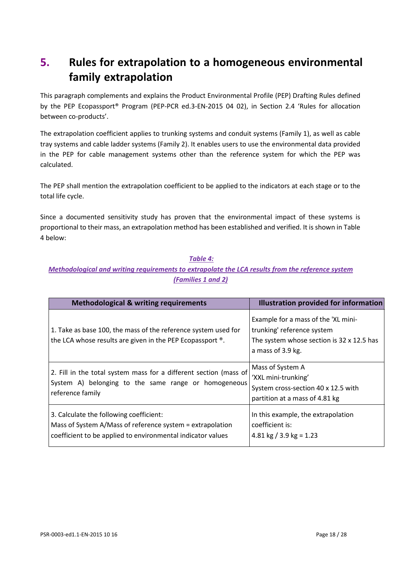# <span id="page-17-0"></span>**5. Rules for extrapolation to a homogeneous environmental family extrapolation**

This paragraph complements and explains the Product Environmental Profile (PEP) Drafting Rules defined by the PEP Ecopassport® Program (PEP-PCR ed.3-EN-2015 04 02), in Section 2.4 'Rules for allocation between co-products'.

The extrapolation coefficient applies to trunking systems and conduit systems (Family 1), as well as cable tray systems and cable ladder systems (Family 2). It enables users to use the environmental data provided in the PEP for cable management systems other than the reference system for which the PEP was calculated.

The PEP shall mention the extrapolation coefficient to be applied to the indicators at each stage or to the total life cycle.

Since a documented sensitivity study has proven that the environmental impact of these systems is proportional to their mass, an extrapolation method has been established and verified. It is shown in Table 4 below:

#### *Table 4:*

#### *Methodological and writing requirements to extrapolate the LCA results from the reference system (Families 1 and 2)*

| <b>Methodological &amp; writing requirements</b>                                                                                                                    | <b>Illustration provided for information</b>                                                                                        |
|---------------------------------------------------------------------------------------------------------------------------------------------------------------------|-------------------------------------------------------------------------------------------------------------------------------------|
| 1. Take as base 100, the mass of the reference system used for<br>the LCA whose results are given in the PEP Ecopassport ®.                                         | Example for a mass of the 'XL mini-<br>trunking' reference system<br>The system whose section is 32 x 12.5 has<br>a mass of 3.9 kg. |
| 2. Fill in the total system mass for a different section (mass of<br>System A) belonging to the same range or homogeneous<br>reference family                       | Mass of System A<br>'XXL mini-trunking'<br>System cross-section 40 x 12.5 with<br>partition at a mass of 4.81 kg                    |
| 3. Calculate the following coefficient:<br>Mass of System A/Mass of reference system = extrapolation<br>coefficient to be applied to environmental indicator values | In this example, the extrapolation<br>coefficient is:<br>4.81 kg $/$ 3.9 kg = 1.23                                                  |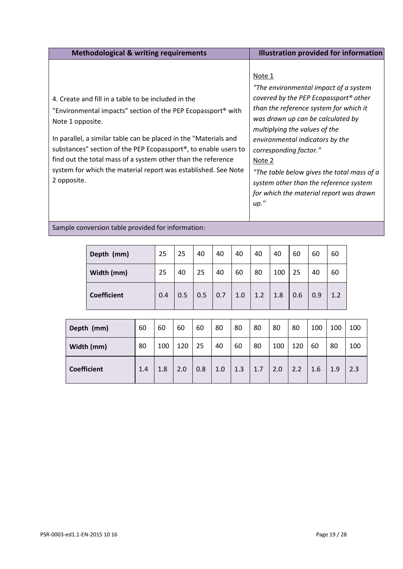| <b>Methodological &amp; writing requirements</b>                                                                                                                                                                                                                                                                                                                                                                                                         | <b>Illustration provided for information</b>                                                                                                                                                                                                                                                                                                                                                                                           |
|----------------------------------------------------------------------------------------------------------------------------------------------------------------------------------------------------------------------------------------------------------------------------------------------------------------------------------------------------------------------------------------------------------------------------------------------------------|----------------------------------------------------------------------------------------------------------------------------------------------------------------------------------------------------------------------------------------------------------------------------------------------------------------------------------------------------------------------------------------------------------------------------------------|
| 4. Create and fill in a table to be included in the<br>"Environmental impacts" section of the PEP Ecopassport <sup>®</sup> with<br>Note 1 opposite.<br>In parallel, a similar table can be placed in the "Materials and<br>substances" section of the PEP Ecopassport <sup>®</sup> , to enable users to<br>find out the total mass of a system other than the reference<br>system for which the material report was established. See Note<br>2 opposite. | Note 1<br>"The environmental impact of a system<br>covered by the PEP Ecopassport <sup>®</sup> other<br>than the reference system for which it<br>was drawn up can be calculated by<br>multiplying the values of the<br>environmental indicators by the<br>corresponding factor."<br>Note 2<br>"The table below gives the total mass of a<br>system other than the reference system<br>for which the material report was drawn<br>up." |
| Sample conversion table provided for information:                                                                                                                                                                                                                                                                                                                                                                                                        |                                                                                                                                                                                                                                                                                                                                                                                                                                        |

| Depth (mm)         | 25  | 25  | 40  | 40                | 40  | 40  | 40  | 60  | 60  | 60  |
|--------------------|-----|-----|-----|-------------------|-----|-----|-----|-----|-----|-----|
| Width (mm)         | 25  | 40  | 25  | 40                | 60  | 80  | 100 | 25  | 40  | 60  |
| <b>Coefficient</b> | 0.4 | 0.5 | 0.5 | $\vert 0.7 \vert$ | 1.0 | 1.2 | 1.8 | 0.6 | 0.9 | 1.2 |

| Depth (mm)         | 60  | 60  | 60  | 60  | 80  | 80  | 80  | 80  | 80  | 100 | 100 | 100 |
|--------------------|-----|-----|-----|-----|-----|-----|-----|-----|-----|-----|-----|-----|
| Width (mm)         | 80  | 100 | 120 | 25  | 40  | 60  | 80  | 100 | 120 | 60  | 80  | 100 |
| <b>Coefficient</b> | 1.4 | 1.8 | 2.0 | 0.8 | 1.0 | 1.3 | 1.7 | 2.0 | 2.2 | 1.6 | 1.9 | 2.3 |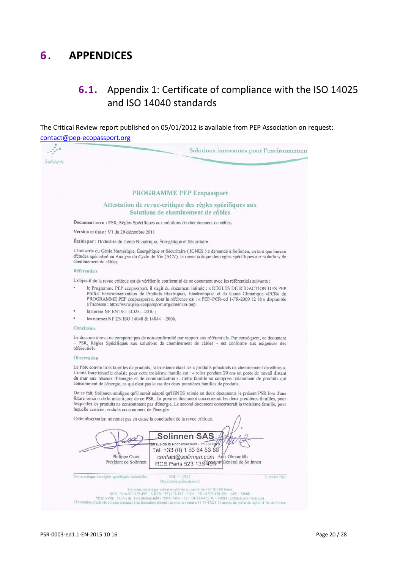# <span id="page-19-1"></span><span id="page-19-0"></span>**6 . APPENDICES**

# **6.1.** Appendix 1: Certificate of compliance with the ISO 14025 and ISO 14040 standards

The Critical Review report published on 05/01/2012 is available from PEP Association on request: contact@pep-ecopassport.org

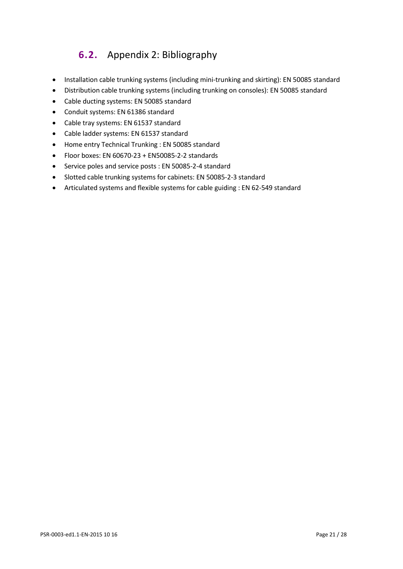# **6.2.** Appendix 2: Bibliography

- <span id="page-20-0"></span>• Installation cable trunking systems (including mini-trunking and skirting): EN 50085 standard
- Distribution cable trunking systems (including trunking on consoles): EN 50085 standard
- Cable ducting systems: EN 50085 standard
- Conduit systems: EN 61386 standard
- Cable tray systems: EN 61537 standard
- Cable ladder systems: EN 61537 standard
- Home entry Technical Trunking : EN 50085 standard
- Floor boxes: EN 60670-23 + EN50085-2-2 standards
- Service poles and service posts : EN 50085-2-4 standard
- Slotted cable trunking systems for cabinets: EN 50085-2-3 standard
- Articulated systems and flexible systems for cable guiding : EN 62-549 standard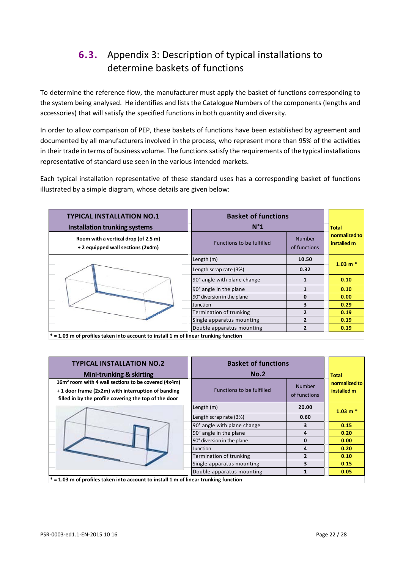# <span id="page-21-0"></span>**6.3.** Appendix 3: Description of typical installations to determine baskets of functions

To determine the reference flow, the manufacturer must apply the basket of functions corresponding to the system being analysed. He identifies and lists the Catalogue Numbers of the components (lengths and accessories) that will satisfy the specified functions in both quantity and diversity.

In order to allow comparison of PEP, these baskets of functions have been established by agreement and documented by all manufacturers involved in the process, who represent more than 95% of the activities in their trade in terms of business volume. The functions satisfy the requirements of the typical installations representative of standard use seen in the various intended markets.

Each typical installation representative of these standard uses has a corresponding basket of functions illustrated by a simple diagram, whose details are given below:

| <b>TYPICAL INSTALLATION NO.1</b><br><b>Installation trunking systems</b>                                        | <b>Basket of functions</b><br>$N^{\circ}1$ |                               | <b>Total</b>                 |
|-----------------------------------------------------------------------------------------------------------------|--------------------------------------------|-------------------------------|------------------------------|
| Room with a vertical drop (of 2.5 m)<br>+ 2 equipped wall sections (2x4m)                                       | <b>Functions to be fulfilled</b>           | <b>Number</b><br>of functions | normalized to<br>installed m |
|                                                                                                                 | Length (m)                                 | 10.50                         |                              |
|                                                                                                                 | Length scrap rate (3%)                     | 0.32                          | $1.03 m*$                    |
|                                                                                                                 | 90° angle with plane change                | $\mathbf{1}$                  | 0.10                         |
|                                                                                                                 | 90° angle in the plane                     |                               | 0.10                         |
|                                                                                                                 | 90° diversion in the plane                 | $\Omega$                      | 0.00                         |
|                                                                                                                 | <b>Junction</b>                            | 3                             | 0.29                         |
|                                                                                                                 | Termination of trunking                    | $\overline{2}$                | 0.19                         |
|                                                                                                                 | Single apparatus mounting                  |                               | 0.19                         |
| and function and the first control of the control of the control of the control of the control of the control o | Double apparatus mounting                  | $\overline{2}$                | 0.19                         |

**\* = 1.03 m of profiles taken into account to install 1 m of linear trunking function**

| <b>TYPICAL INSTALLATION NO.2</b>                                | <b>Basket of functions</b>  |                |               |
|-----------------------------------------------------------------|-----------------------------|----------------|---------------|
| <b>Mini-trunking &amp; skirting</b>                             | No.2                        |                | <b>Total</b>  |
| 16m <sup>2</sup> room with 4 wall sections to be covered (4x4m) |                             | <b>Number</b>  | normalized to |
| + 1 door frame (2x2m) with interruption of banding              | Functions to be fulfilled   |                | installed m   |
| filled in by the profile covering the top of the door           |                             | of functions   |               |
|                                                                 | Length (m)                  | 20.00          | $1.03 m*$     |
|                                                                 | Length scrap rate (3%)      | 0.60           |               |
|                                                                 | 90° angle with plane change | 3              | 0.15          |
|                                                                 | 90° angle in the plane      | 4              | 0.20          |
|                                                                 | 90° diversion in the plane  | $\bf{0}$       | 0.00          |
|                                                                 | <b>Junction</b>             | 4              | 0.20          |
|                                                                 | Termination of trunking     | $\overline{2}$ | 0.10          |
|                                                                 | Single apparatus mounting   | 3              | 0.15          |
|                                                                 | Double apparatus mounting   |                | 0.05          |

**\* = 1.03 m of profiles taken into account to install 1 m of linear trunking function**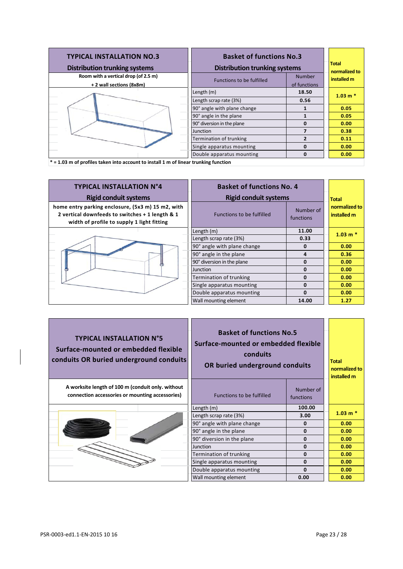| <b>TYPICAL INSTALLATION NO.3</b><br><b>Distribution trunking systems</b>               | <b>Basket of functions No.3</b><br><b>Distribution trunking systems</b> |               | <b>Total</b><br>normalized to |
|----------------------------------------------------------------------------------------|-------------------------------------------------------------------------|---------------|-------------------------------|
| Room with a vertical drop (of 2.5 m)                                                   | <b>Functions to be fulfilled</b>                                        | <b>Number</b> | installed m                   |
| + 2 wall sections (8x8m)                                                               |                                                                         | of functions  |                               |
|                                                                                        | Length (m)                                                              | 18.50         | $1.03 m*$                     |
|                                                                                        | Length scrap rate (3%)                                                  | 0.56          |                               |
|                                                                                        | 90° angle with plane change                                             |               | 0.05                          |
|                                                                                        | 90° angle in the plane                                                  |               | 0.05                          |
|                                                                                        | 90° diversion in the plane                                              | n             | 0.00                          |
|                                                                                        | Junction                                                                |               | 0.38                          |
|                                                                                        | Termination of trunking                                                 | 2             | 0.11                          |
|                                                                                        | Single apparatus mounting                                               | O             | 0.00                          |
|                                                                                        | Double apparatus mounting                                               | 0             | 0.00                          |
| $*$ = 1.03 m of profiles taken into account to install 1 m of linear trunking function |                                                                         |               |                               |

| <b>TYPICAL INSTALLATION N°4</b><br><b>Rigid conduit systems</b>                                                                                    | <b>Basket of functions No. 4</b><br><b>Rigid conduit systems</b> |                               | <b>Total</b>                 |
|----------------------------------------------------------------------------------------------------------------------------------------------------|------------------------------------------------------------------|-------------------------------|------------------------------|
| home entry parking enclosure, (5x3 m) 15 m2, with<br>2 vertical downfeeds to switches + 1 length & 1<br>width of profile to supply 1 light fitting | <b>Functions to be fulfilled</b>                                 | Number of<br><b>functions</b> | normalized to<br>installed m |
|                                                                                                                                                    | Length (m)                                                       | 11.00                         | $1.03$ m $*$                 |
|                                                                                                                                                    | Length scrap rate (3%)                                           | 0.33                          |                              |
|                                                                                                                                                    | 90° angle with plane change                                      | $\Omega$                      | 0.00                         |
|                                                                                                                                                    | 90° angle in the plane                                           | 4                             | 0.36                         |
|                                                                                                                                                    | 90° diversion in the plane                                       | $\Omega$                      | 0.00                         |
|                                                                                                                                                    | Junction                                                         | $\Omega$                      | 0.00                         |
|                                                                                                                                                    | Termination of trunking                                          | $\Omega$                      | 0.00                         |
|                                                                                                                                                    | Single apparatus mounting                                        | $\Omega$                      | 0.00                         |
|                                                                                                                                                    | Double apparatus mounting                                        | $\Omega$                      | 0.00                         |
|                                                                                                                                                    | Wall mounting element                                            | 14.00                         | 1.27                         |

| <b>TYPICAL INSTALLATION N°5</b><br>Surface-mounted or embedded flexible<br>conduits OR buried underground conduits | conduits                    | <b>Basket of functions No.5</b><br>Surface-mounted or embedded flexible<br>OR buried underground conduits |              |
|--------------------------------------------------------------------------------------------------------------------|-----------------------------|-----------------------------------------------------------------------------------------------------------|--------------|
| A worksite length of 100 m (conduit only. without<br>connection accessories or mounting accessories)               | Functions to be fulfilled   | Number of<br>functions                                                                                    |              |
|                                                                                                                    | Length (m)                  | 100.00                                                                                                    |              |
|                                                                                                                    | Length scrap rate (3%)      | 3.00                                                                                                      | $1.03$ m $*$ |
|                                                                                                                    | 90° angle with plane change | $\mathbf{0}$                                                                                              | 0.00         |
|                                                                                                                    | 90° angle in the plane      | $\mathbf{0}$                                                                                              | 0.00         |
|                                                                                                                    | 90° diversion in the plane  | $\Omega$                                                                                                  | 0.00         |
|                                                                                                                    | Junction                    | $\mathbf{0}$                                                                                              | 0.00         |
|                                                                                                                    | Termination of trunking     | $\Omega$                                                                                                  | 0.00         |
|                                                                                                                    | Single apparatus mounting   | $\mathbf{0}$                                                                                              | 0.00         |
|                                                                                                                    | Double apparatus mounting   | $\Omega$                                                                                                  | 0.00         |
|                                                                                                                    | Wall mounting element       | 0.00                                                                                                      | 0.00         |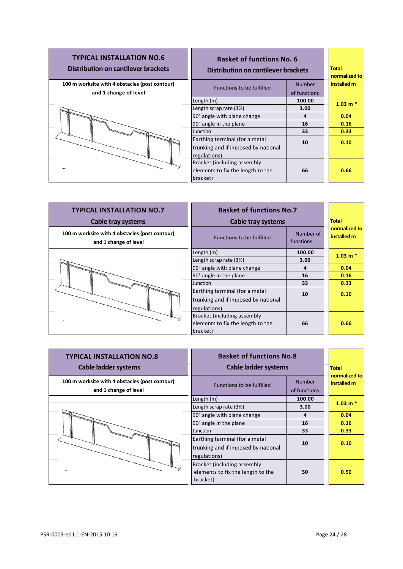| <b>TYPICAL INSTALLATION NO.6</b><br>Distribution on cantilever brackets | <b>Basket of functions No. 6</b><br>Distribution on cantilever brackets               |               | <b>Total</b><br>normalized to |
|-------------------------------------------------------------------------|---------------------------------------------------------------------------------------|---------------|-------------------------------|
| 100 m worksite with 4 obstacles (post contour)                          | Functions to be fulfilled                                                             | <b>Number</b> | installed m                   |
| and 1 change of level                                                   |                                                                                       | of functions  |                               |
|                                                                         | Length (m)                                                                            | 100.00        | $1.03 m*$                     |
|                                                                         | Length scrap rate (3%)                                                                | 3.00          |                               |
|                                                                         | 90° angle with plane change                                                           | 4             | 0.04                          |
|                                                                         | 90° angle in the plane                                                                | 16            | 0.16                          |
|                                                                         | Junction                                                                              | 33            | 0.33                          |
|                                                                         | Earthing terminal (for a metal<br>trunking and if imposed by national<br>regulations) | 10            | 0.10                          |
|                                                                         | Bracket (including assembly<br>elements to fix the length to the<br>bracket)          | 66            | 0.66                          |

| <b>TYPICAL INSTALLATION NO.7</b><br><b>Cable tray systems</b>           | <b>Basket of functions No.7</b><br><b>Cable tray systems</b>                 |                        | <b>Total</b>                 |
|-------------------------------------------------------------------------|------------------------------------------------------------------------------|------------------------|------------------------------|
| 100 m worksite with 4 obstacles (post contour)<br>and 1 change of level | <b>Functions to be fulfilled</b>                                             | Number of<br>functions | normalized to<br>installed m |
|                                                                         | Length $(m)$                                                                 | 100.00                 | $1.03 m*$                    |
| <b>Commodado</b>                                                        | Length scrap rate (3%)                                                       | 3.00                   |                              |
|                                                                         | 90° angle with plane change                                                  | 4                      | 0.04                         |
|                                                                         | 90° angle in the plane                                                       | 16                     | 0.16                         |
|                                                                         | <b>Junction</b>                                                              | 33                     | 0.33                         |
| <b>CARGO</b>                                                            | Earthing terminal (for a metal<br>trunking and if imposed by national        | 10                     | 0.10                         |
|                                                                         | regulations)                                                                 |                        |                              |
|                                                                         | Bracket (including assembly<br>elements to fix the length to the<br>bracket) | 66                     | 0.66                         |

| <b>TYPICAL INSTALLATION NO.8</b><br><b>Cable ladder systems</b>         | <b>Basket of functions No.8</b><br>Cable ladder systems                               |                               | <b>Total</b>                 |
|-------------------------------------------------------------------------|---------------------------------------------------------------------------------------|-------------------------------|------------------------------|
| 100 m worksite with 4 obstacles (post contour)<br>and 1 change of level | <b>Functions to be fulfilled</b>                                                      | <b>Number</b><br>of functions | normalized to<br>installed m |
|                                                                         | Length (m)                                                                            | 100.00                        | $1.03 m*$                    |
|                                                                         | Length scrap rate (3%)                                                                | 3.00                          |                              |
|                                                                         | 90° angle with plane change                                                           | 4                             | 0.04                         |
|                                                                         | 90° angle in the plane                                                                | 16                            | 0.16                         |
|                                                                         | <b>Junction</b>                                                                       | 33                            | 0.33                         |
|                                                                         | Earthing terminal (for a metal<br>trunking and if imposed by national<br>regulations) | 10                            | 0.10                         |
|                                                                         | Bracket (including assembly<br>elements to fix the length to the<br>bracket)          | 50                            | 0.50                         |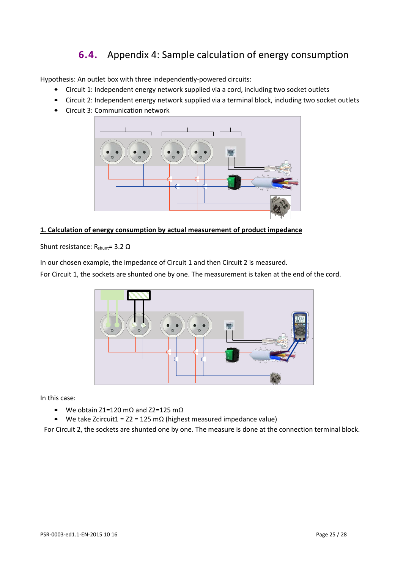# **6.4.** Appendix 4: Sample calculation of energy consumption

<span id="page-24-0"></span>Hypothesis: An outlet box with three independently-powered circuits:

- Circuit 1: Independent energy network supplied via a cord, including two socket outlets
- Circuit 2: Independent energy network supplied via a terminal block, including two socket outlets
- Circuit 3: Communication network



#### **1. Calculation of energy consumption by actual measurement of product impedance**

Shunt resistance:  $R_{shunt}$ = 3.2 Ω

In our chosen example, the impedance of Circuit 1 and then Circuit 2 is measured.

For Circuit 1, the sockets are shunted one by one. The measurement is taken at the end of the cord.



In this case:

- We obtain Z1=120 mΩ and Z2=125 mΩ
- We take Zcircuit1 =  $Z^2$  = 125 m $\Omega$  (highest measured impedance value)

For Circuit 2, the sockets are shunted one by one. The measure is done at the connection terminal block.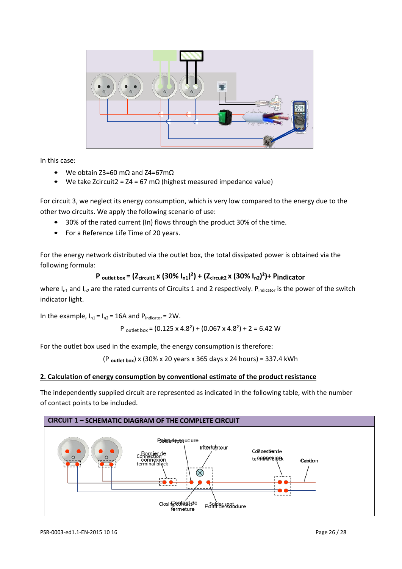

In this case:

- We obtain Z3=60 mΩ and Z4=67mΩ
- We take Zcircuit2 =  $Z4 = 67$  mΩ (highest measured impedance value)

For circuit 3, we neglect its energy consumption, which is very low compared to the energy due to the other two circuits. We apply the following scenario of use:

- 30% of the rated current (In) flows through the product 30% of the time.
- For a Reference Life Time of 20 years.

For the energy network distributed via the outlet box, the total dissipated power is obtained via the following formula:

#### **P outlet box = (Zcircuit1 x (30% In1)²) + (Zcircuit2 x (30% In2)²)+ Pindicator**

where I<sub>n1</sub> and I<sub>n2</sub> are the rated currents of Circuits 1 and 2 respectively. Pindicator is the power of the switch indicator light.

In the example,  $I_{n1} = I_{n2} = 16A$  and  $P_{indication} = 2W$ .

P outlet box = 
$$
(0.125 \times 4.8^2) + (0.067 \times 4.8^2) + 2 = 6.42
$$
 W

For the outlet box used in the example, the energy consumption is therefore:

(P **outlet box**) x (30% x 20 years x 365 days x 24 hours) = 337.4 kWh

#### **2. Calculation of energy consumption by conventional estimate of the product resistance**

The independently supplied circuit are represented as indicated in the following table, with the number of contact points to be included.

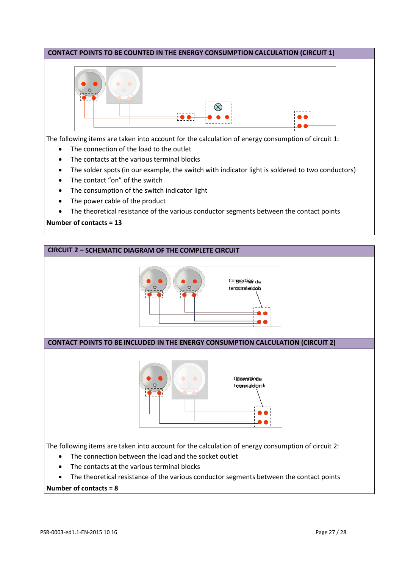# **CONTACT POINTS TO BE COUNTED IN THE ENERGY CONSUMPTION CALCULATION (CIRCUIT 1)**  $\bullet$  0 The following items are taken into account for the calculation of energy consumption of circuit 1: • The connection of the load to the outlet • The contacts at the various terminal blocks • The solder spots (in our example, the switch with indicator light is soldered to two conductors)

- The contact "on" of the switch
- The consumption of the switch indicator light
- The power cable of the product
- The theoretical resistance of the various conductor segments between the contact points

#### **Number of contacts = 13**